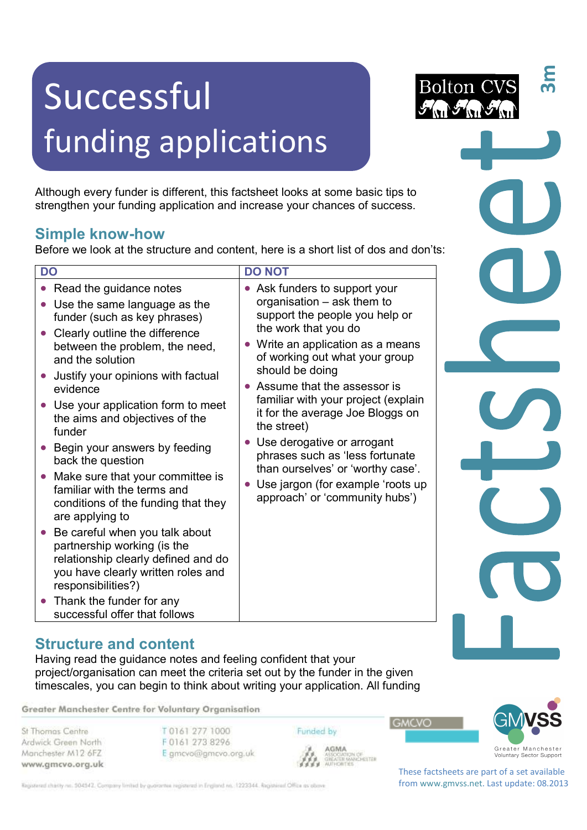# Successful funding applications

Although every funder is different, this factsheet looks at some basic tips to strengthen your funding application and increase your chances of success.

### **Simple know-how**

Before we look at the structure and content, here is a short list of dos and don'ts:

| <b>DO</b>                                                                                                                                                                                                                                                                                                                                                                                                                                                                                                                                                                                                                                                                                                                                                                     | <b>DO NOT</b>                                                                                                                                                                                                                                                                                                                                                                                                                                                                                                         |
|-------------------------------------------------------------------------------------------------------------------------------------------------------------------------------------------------------------------------------------------------------------------------------------------------------------------------------------------------------------------------------------------------------------------------------------------------------------------------------------------------------------------------------------------------------------------------------------------------------------------------------------------------------------------------------------------------------------------------------------------------------------------------------|-----------------------------------------------------------------------------------------------------------------------------------------------------------------------------------------------------------------------------------------------------------------------------------------------------------------------------------------------------------------------------------------------------------------------------------------------------------------------------------------------------------------------|
| Read the guidance notes<br>Use the same language as the<br>funder (such as key phrases)<br>Clearly outline the difference<br>$\bullet$<br>between the problem, the need,<br>and the solution<br>Justify your opinions with factual<br>evidence<br>Use your application form to meet<br>the aims and objectives of the<br>funder<br>Begin your answers by feeding<br>$\bullet$<br>back the question<br>Make sure that your committee is<br>$\bullet$<br>familiar with the terms and<br>conditions of the funding that they<br>are applying to<br>Be careful when you talk about<br>partnership working (is the<br>relationship clearly defined and do<br>you have clearly written roles and<br>responsibilities?)<br>Thank the funder for any<br>successful offer that follows | • Ask funders to support your<br>organisation - ask them to<br>support the people you help or<br>the work that you do<br>Write an application as a means<br>of working out what your group<br>should be doing<br>• Assume that the assessor is<br>familiar with your project (explain<br>it for the average Joe Bloggs on<br>the street)<br>Use derogative or arrogant<br>phrases such as 'less fortunate<br>than ourselves' or 'worthy case'.<br>Use jargon (for example 'roots up<br>approach' or 'community hubs') |

#### **Structure and content**

Having read the guidance notes and feeling confident that your project/organisation can meet the criteria set out by the funder in the given timescales, you can begin to think about writing your application. All funding

Greater Manchester Centre for Voluntary Organisation

St Thomas Centre Ardwick Green North Manchester M12 6FZ www.gmcvo.org.uk T 0161 277 1000 F 0161 273 8296 E gmcvo@gmcvo.org.uk Funded by



These factsheets are part of a set available from www.gmvss.net. Last update: 08.2013

**GMCVO** 

ASSUSATION<br>GREATER MANCHESTER<br>AUTHORITIES

Registered charity no. 504542. Company limited by guarantee registered in England no. 1223344. Registered Office as obove

**3m**

**Bolton C**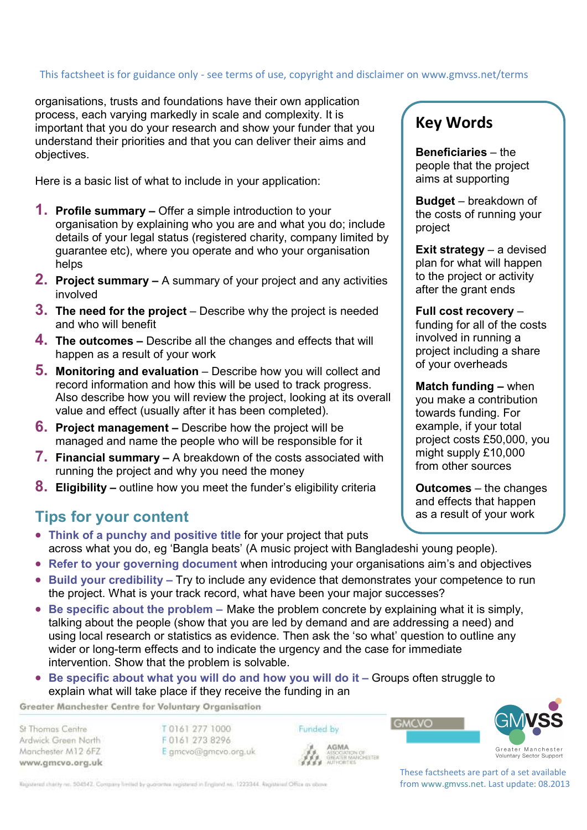# This factsheet is for guidance only - see terms of use, copyright and disclaimer on www.gmvss.net/terms

organisations, trusts and foundations have their own application process, each varying markedly in scale and complexity. It is important that you do your research and show your funder that you understand their priorities and that you can deliver their aims and objectives.

Here is a basic list of what to include in your application:

- **1. Profile summary** Offer a simple introduction to your organisation by explaining who you are and what you do; include details of your legal status (registered charity, company limited by guarantee etc), where you operate and who your organisation helps
- **2. Project summary** A summary of your project and any activities involved
- **3. The need for the project** Describe why the project is needed and who will benefit
- **4. The outcomes –** Describe all the changes and effects that will happen as a result of your work
- **5.** Monitoring and evaluation Describe how you will collect and record information and how this will be used to track progress. Also describe how you will review the project, looking at its overall value and effect (usually after it has been completed).
- **6. Project management –** Describe how the project will be managed and name the people who will be responsible for it
- **7. Financial summary –** A breakdown of the costs associated with running the project and why you need the money
- **8. Eligibility –** outline how you meet the funder's eligibility criteria

#### **Tips for your content**

- **Think of a punchy and positive title** for your project that puts across what you do, eg 'Bangla beats' (A music project with Bangladeshi young people).
- **Refer to your governing document** when introducing your organisations aim's and objectives
- **Build your credibility** Try to include any evidence that demonstrates your competence to run the project. What is your track record, what have been your major successes?
- **Be specific about the problem –** Make the problem concrete by explaining what it is simply, talking about the people (show that you are led by demand and are addressing a need) and using local research or statistics as evidence. Then ask the 'so what' question to outline any wider or long-term effects and to indicate the urgency and the case for immediate intervention. Show that the problem is solvable.
- Be specific about what you will do and how you will do it Groups often struggle to explain what will take place if they receive the funding in an

Greater Manchester Centre for Voluntary Organisation

St Thomas Centre Ardwick Green North Manchester M12 6FZ www.gmcvo.org.uk

T0161 277 1000 F0161 273 8296 E gmcvo@gmcvo.org.uk Funded by AGMA



**GMCVO** 

These factsheets are part of a set available from www.gmvss.net. Last update: 08.2013

## **Key Words**

**Beneficiaries** – the people that the project aims at supporting

**Budget** – breakdown of the costs of running your project

**Exit strategy** – a devised plan for what will happen to the project or activity after the grant ends

**Full cost recovery** – funding for all of the costs involved in running a project including a share of your overheads

**Match funding –** when you make a contribution towards funding. For example, if your total project costs £50,000, you might supply £10,000 from other sources

**Outcomes** – the changes and effects that happen as a result of your work

Registered charity no. 504542. Company limited by guarantee registered in England no. 1223344. Registered Office as obove